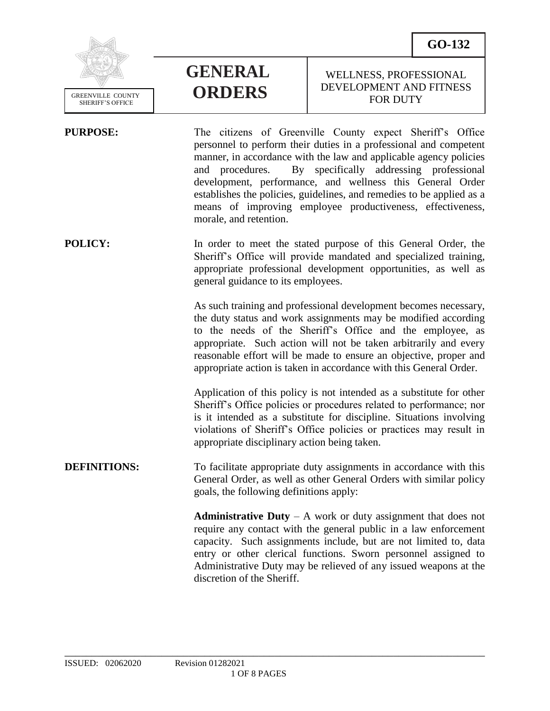**GO-132**



# **GENERAL ORDERS**

## WELLNESS, PROFESSIONAL DEVELOPMENT AND FITNESS FOR DUTY

**PURPOSE:** The citizens of Greenville County expect Sheriff's Office personnel to perform their duties in a professional and competent manner, in accordance with the law and applicable agency policies and procedures. By specifically addressing professional development, performance, and wellness this General Order establishes the policies, guidelines, and remedies to be applied as a means of improving employee productiveness, effectiveness, morale, and retention. **POLICY:** In order to meet the stated purpose of this General Order, the Sheriff's Office will provide mandated and specialized training, appropriate professional development opportunities, as well as general guidance to its employees. As such training and professional development becomes necessary, the duty status and work assignments may be modified according to the needs of the Sheriff's Office and the employee, as appropriate. Such action will not be taken arbitrarily and every reasonable effort will be made to ensure an objective, proper and appropriate action is taken in accordance with this General Order. Application of this policy is not intended as a substitute for other Sheriff's Office policies or procedures related to performance; nor is it intended as a substitute for discipline. Situations involving violations of Sheriff's Office policies or practices may result in appropriate disciplinary action being taken. **DEFINITIONS:** To facilitate appropriate duty assignments in accordance with this General Order, as well as other General Orders with similar policy goals, the following definitions apply: **Administrative Duty** – A work or duty assignment that does not require any contact with the general public in a law enforcement capacity. Such assignments include, but are not limited to, data entry or other clerical functions. Sworn personnel assigned to Administrative Duty may be relieved of any issued weapons at the discretion of the Sheriff.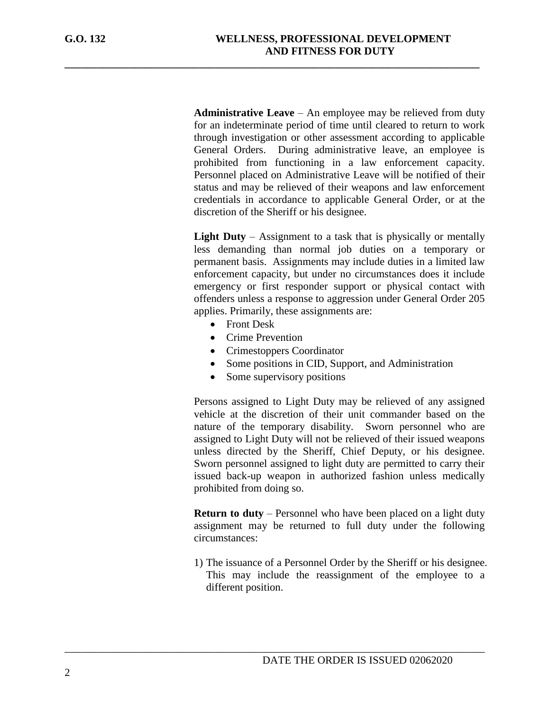**Administrative Leave** – An employee may be relieved from duty for an indeterminate period of time until cleared to return to work through investigation or other assessment according to applicable General Orders. During administrative leave, an employee is prohibited from functioning in a law enforcement capacity. Personnel placed on Administrative Leave will be notified of their status and may be relieved of their weapons and law enforcement credentials in accordance to applicable General Order, or at the discretion of the Sheriff or his designee.

**Light Duty** – Assignment to a task that is physically or mentally less demanding than normal job duties on a temporary or permanent basis. Assignments may include duties in a limited law enforcement capacity, but under no circumstances does it include emergency or first responder support or physical contact with offenders unless a response to aggression under General Order 205 applies. Primarily, these assignments are:

- Front Desk
- Crime Prevention
- Crimestoppers Coordinator

**\_\_\_\_\_\_\_\_\_\_\_\_\_\_\_\_\_\_\_\_\_\_\_\_\_\_\_\_\_\_\_\_\_\_\_\_\_\_\_\_\_\_\_\_\_\_\_\_\_\_\_\_\_\_\_\_\_\_\_\_\_\_\_\_\_\_\_\_\_\_\_\_\_\_\_\_\_**

- Some positions in CID, Support, and Administration
- Some supervisory positions

\_\_\_\_\_\_\_\_\_\_\_\_\_\_\_\_\_\_\_\_\_\_\_\_\_\_\_\_\_\_\_\_\_\_\_\_\_\_\_\_\_\_\_\_\_\_\_\_\_\_\_\_\_\_\_\_\_\_\_\_\_\_\_\_\_\_\_\_\_\_\_\_\_\_\_\_\_\_

Persons assigned to Light Duty may be relieved of any assigned vehicle at the discretion of their unit commander based on the nature of the temporary disability. Sworn personnel who are assigned to Light Duty will not be relieved of their issued weapons unless directed by the Sheriff, Chief Deputy, or his designee. Sworn personnel assigned to light duty are permitted to carry their issued back-up weapon in authorized fashion unless medically prohibited from doing so.

**Return to duty** – Personnel who have been placed on a light duty assignment may be returned to full duty under the following circumstances:

1) The issuance of a Personnel Order by the Sheriff or his designee. This may include the reassignment of the employee to a different position.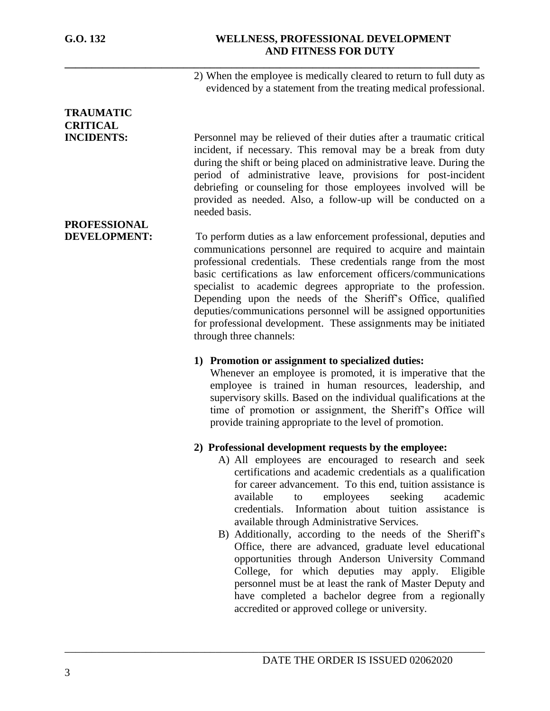## **G.O. 132 WELLNESS, PROFESSIONAL DEVELOPMENT AND FITNESS FOR DUTY**

2) When the employee is medically cleared to return to full duty as evidenced by a statement from the treating medical professional.

# **TRAUMATIC CRITICAL**

**PROFESSIONAL**

**INCIDENTS:** Personnel may be relieved of their duties after a traumatic critical incident, if necessary. This removal may be a break from duty during the shift or being placed on administrative leave. During the period of administrative leave, provisions for post-incident debriefing or [counseling](javascript:standardsMaster.SelectTreeNode(3097868);) for those employees involved will be provided as needed. Also, a follow-up will be conducted on a needed basis.

**DEVELOPMENT:** To perform duties as a law enforcement professional, deputies and communications personnel are required to acquire and maintain professional credentials. These credentials range from the most basic certifications as law enforcement officers/communications specialist to academic degrees appropriate to the profession. Depending upon the needs of the Sheriff's Office, qualified deputies/communications personnel will be assigned opportunities for professional development. These assignments may be initiated through three channels:

\_\_\_\_\_\_\_\_\_\_\_\_\_\_\_\_\_\_\_\_\_\_\_\_\_\_\_\_\_\_\_\_\_\_\_\_\_\_\_\_\_\_\_\_\_\_\_\_\_\_\_\_\_\_\_\_\_\_\_\_\_\_\_\_\_\_\_\_\_\_\_\_\_\_\_\_\_\_

**\_\_\_\_\_\_\_\_\_\_\_\_\_\_\_\_\_\_\_\_\_\_\_\_\_\_\_\_\_\_\_\_\_\_\_\_\_\_\_\_\_\_\_\_\_\_\_\_\_\_\_\_\_\_\_\_\_\_\_\_\_\_\_\_\_\_\_\_\_\_\_\_\_\_\_\_\_**

#### **1) Promotion or assignment to specialized duties:**

Whenever an employee is promoted, it is imperative that the employee is trained in human resources, leadership, and supervisory skills. Based on the individual qualifications at the time of promotion or assignment, the Sheriff's Office will provide training appropriate to the level of promotion.

# **2) Professional development requests by the employee:**

- A) All employees are encouraged to research and seek certifications and academic credentials as a qualification for career advancement. To this end, tuition assistance is available to employees seeking academic credentials. Information about tuition assistance is available through Administrative Services.
- B) Additionally, according to the needs of the Sheriff's Office, there are advanced, graduate level educational opportunities through Anderson University Command College, for which deputies may apply. Eligible personnel must be at least the rank of Master Deputy and have completed a bachelor degree from a regionally accredited or approved college or university.

# 3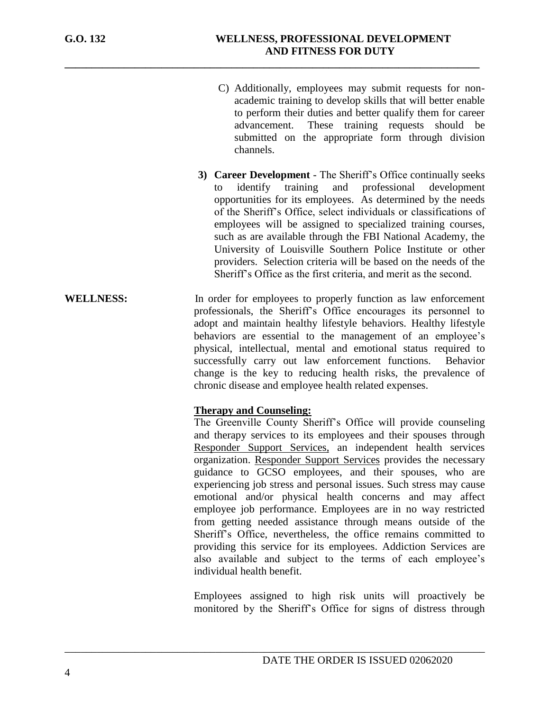- C) Additionally, employees may submit requests for nonacademic training to develop skills that will better enable to perform their duties and better qualify them for career advancement. These training requests should be submitted on the appropriate form through division channels.
- **3) Career Development** The Sheriff's Office continually seeks to identify training and professional development opportunities for its employees. As determined by the needs of the Sheriff's Office, select individuals or classifications of employees will be assigned to specialized training courses, such as are available through the FBI National Academy, the University of Louisville Southern Police Institute or other providers. Selection criteria will be based on the needs of the Sheriff's Office as the first criteria, and merit as the second.
- **WELLNESS:** In order for employees to properly function as law enforcement professionals, the Sheriff's Office encourages its personnel to adopt and maintain healthy lifestyle behaviors. Healthy lifestyle behaviors are essential to the management of an employee's physical, intellectual, mental and emotional status required to successfully carry out law enforcement functions. Behavior change is the key to reducing health risks, the prevalence of chronic disease and employee health related expenses.

\_\_\_\_\_\_\_\_\_\_\_\_\_\_\_\_\_\_\_\_\_\_\_\_\_\_\_\_\_\_\_\_\_\_\_\_\_\_\_\_\_\_\_\_\_\_\_\_\_\_\_\_\_\_\_\_\_\_\_\_\_\_\_\_\_\_\_\_\_\_\_\_\_\_\_\_\_\_

**\_\_\_\_\_\_\_\_\_\_\_\_\_\_\_\_\_\_\_\_\_\_\_\_\_\_\_\_\_\_\_\_\_\_\_\_\_\_\_\_\_\_\_\_\_\_\_\_\_\_\_\_\_\_\_\_\_\_\_\_\_\_\_\_\_\_\_\_\_\_\_\_\_\_\_\_\_**

#### **Therapy and Counseling:**

 The Greenville County Sheriff's Office will provide counseling and therapy services to its employees and their spouses through Responder Support Services, an independent health services organization. Responder Support Services provides the necessary guidance to GCSO employees, and their spouses, who are experiencing job stress and personal issues. Such stress may cause emotional and/or physical health concerns and may affect employee job performance. Employees are in no way restricted from getting needed assistance through means outside of the Sheriff's Office, nevertheless, the office remains committed to providing this service for its employees. Addiction Services are also available and subject to the terms of each employee's individual health benefit.

 Employees assigned to high risk units will proactively be monitored by the Sheriff's Office for signs of distress through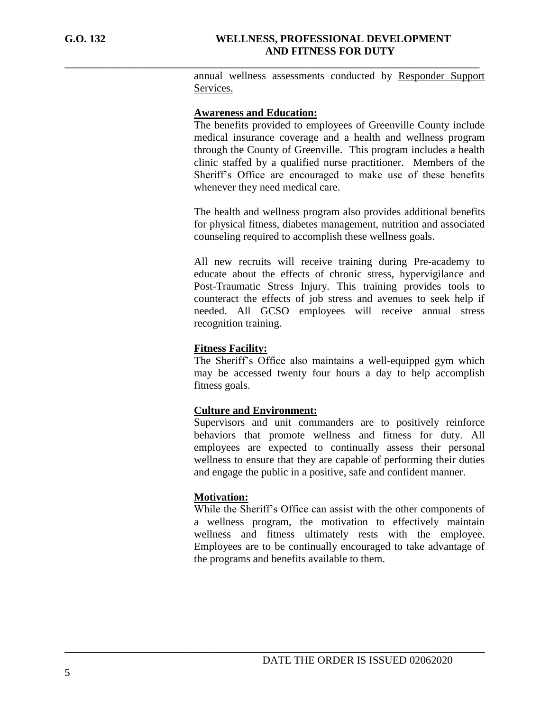annual wellness assessments conducted by Responder Support Services.

#### **Awareness and Education:**

**\_\_\_\_\_\_\_\_\_\_\_\_\_\_\_\_\_\_\_\_\_\_\_\_\_\_\_\_\_\_\_\_\_\_\_\_\_\_\_\_\_\_\_\_\_\_\_\_\_\_\_\_\_\_\_\_\_\_\_\_\_\_\_\_\_\_\_\_\_\_\_\_\_\_\_\_\_**

The benefits provided to employees of Greenville County include medical insurance coverage and a health and wellness program through the County of Greenville. This program includes a health clinic staffed by a qualified nurse practitioner. Members of the Sheriff's Office are encouraged to make use of these benefits whenever they need medical care.

The health and wellness program also provides additional benefits for physical fitness, diabetes management, nutrition and associated counseling required to accomplish these wellness goals.

All new recruits will receive training during Pre-academy to educate about the effects of chronic stress, hypervigilance and Post-Traumatic Stress Injury. This training provides tools to counteract the effects of job stress and avenues to seek help if needed. All GCSO employees will receive annual stress recognition training.

#### **Fitness Facility:**

The Sheriff's Office also maintains a well-equipped gym which may be accessed twenty four hours a day to help accomplish fitness goals.

#### **Culture and Environment:**

\_\_\_\_\_\_\_\_\_\_\_\_\_\_\_\_\_\_\_\_\_\_\_\_\_\_\_\_\_\_\_\_\_\_\_\_\_\_\_\_\_\_\_\_\_\_\_\_\_\_\_\_\_\_\_\_\_\_\_\_\_\_\_\_\_\_\_\_\_\_\_\_\_\_\_\_\_\_

Supervisors and unit commanders are to positively reinforce behaviors that promote wellness and fitness for duty. All employees are expected to continually assess their personal wellness to ensure that they are capable of performing their duties and engage the public in a positive, safe and confident manner.

#### **Motivation:**

While the Sheriff's Office can assist with the other components of a wellness program, the motivation to effectively maintain wellness and fitness ultimately rests with the employee. Employees are to be continually encouraged to take advantage of the programs and benefits available to them.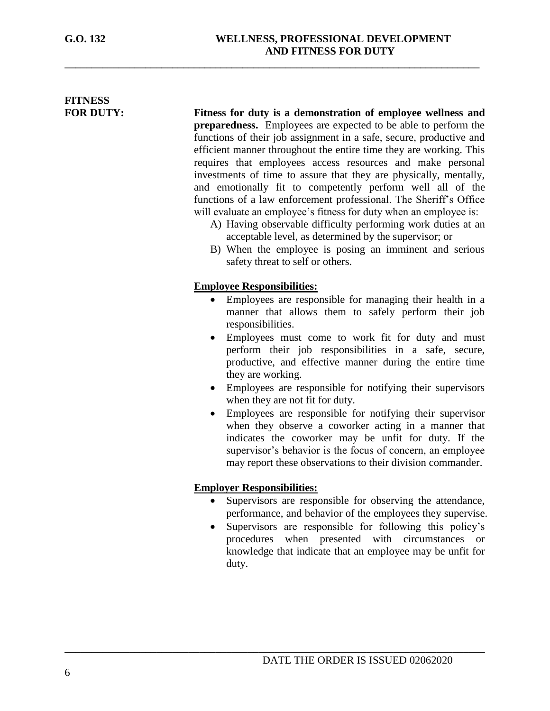# **FITNESS**

**FOR DUTY: Fitness for duty is a demonstration of employee wellness and preparedness.** Employees are expected to be able to perform the functions of their job assignment in a safe, secure, productive and efficient manner throughout the entire time they are working. This requires that employees access resources and make personal investments of time to assure that they are physically, mentally, and emotionally fit to competently perform well all of the functions of a law enforcement professional. The Sheriff's Office will evaluate an employee's fitness for duty when an employee is:

- A) Having observable difficulty performing work duties at an acceptable level, as determined by the supervisor; or
- B) When the employee is posing an imminent and serious safety threat to self or others.

## **Employee Responsibilities:**

**\_\_\_\_\_\_\_\_\_\_\_\_\_\_\_\_\_\_\_\_\_\_\_\_\_\_\_\_\_\_\_\_\_\_\_\_\_\_\_\_\_\_\_\_\_\_\_\_\_\_\_\_\_\_\_\_\_\_\_\_\_\_\_\_\_\_\_\_\_\_\_\_\_\_\_\_\_**

- Employees are responsible for managing their health in a manner that allows them to safely perform their job responsibilities.
- Employees must come to work fit for duty and must perform their job responsibilities in a safe, secure, productive, and effective manner during the entire time they are working.
- Employees are responsible for notifying their supervisors when they are not fit for duty.
- Employees are responsible for notifying their supervisor when they observe a coworker acting in a manner that indicates the coworker may be unfit for duty. If the supervisor's behavior is the focus of concern, an employee may report these observations to their division commander.

# **Employer Responsibilities:**

- Supervisors are responsible for observing the attendance, performance, and behavior of the employees they supervise.
- Supervisors are responsible for following this policy's procedures when presented with circumstances or knowledge that indicate that an employee may be unfit for duty.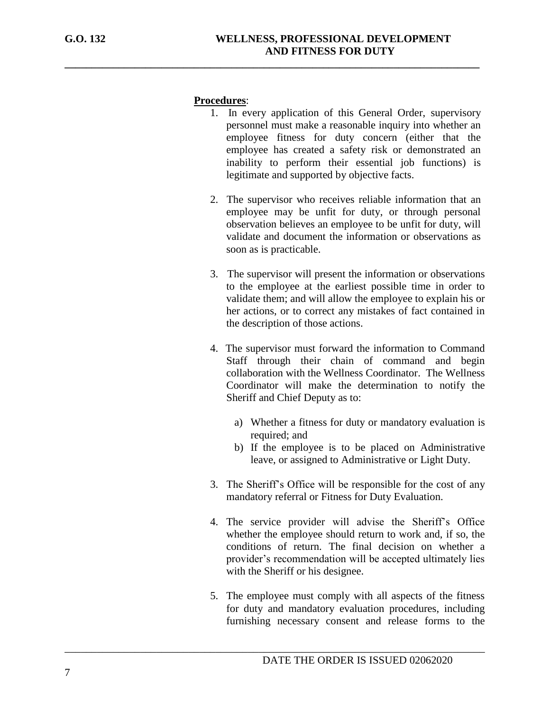#### **Procedures**:

**\_\_\_\_\_\_\_\_\_\_\_\_\_\_\_\_\_\_\_\_\_\_\_\_\_\_\_\_\_\_\_\_\_\_\_\_\_\_\_\_\_\_\_\_\_\_\_\_\_\_\_\_\_\_\_\_\_\_\_\_\_\_\_\_\_\_\_\_\_\_\_\_\_\_\_\_\_**

- 1. In every application of this General Order, supervisory personnel must make a reasonable inquiry into whether an employee fitness for duty concern (either that the employee has created a safety risk or demonstrated an inability to perform their essential job functions) is legitimate and supported by objective facts.
- 2. The supervisor who receives reliable information that an employee may be unfit for duty, or through personal observation believes an employee to be unfit for duty, will validate and document the information or observations as soon as is practicable.
- 3. The supervisor will present the information or observations to the employee at the earliest possible time in order to validate them; and will allow the employee to explain his or her actions, or to correct any mistakes of fact contained in the description of those actions.
- 4. The supervisor must forward the information to Command Staff through their chain of command and begin collaboration with the Wellness Coordinator. The Wellness Coordinator will make the determination to notify the Sheriff and Chief Deputy as to:
	- a) Whether a fitness for duty or mandatory evaluation is required; and
	- b) If the employee is to be placed on Administrative leave, or assigned to Administrative or Light Duty.
- 3. The Sheriff's Office will be responsible for the cost of any mandatory referral or Fitness for Duty Evaluation.
- 4. The service provider will advise the Sheriff's Office whether the employee should return to work and, if so, the conditions of return. The final decision on whether a provider's recommendation will be accepted ultimately lies with the Sheriff or his designee.
- 5. The employee must comply with all aspects of the fitness for duty and mandatory evaluation procedures, including furnishing necessary consent and release forms to the